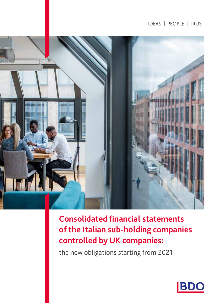# IDEAS | PEOPLE | TRUST



**Consolidated financial statements of the Italian sub-holding companies controlled by UK companies:**

the new obligations starting from 2021

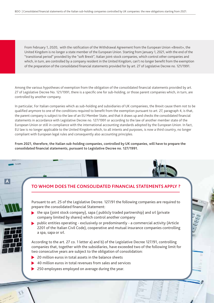From February 1, 2020, with the ratification of the Withdrawal Agreement from the European Union «Brexit», the United Kingdom is no longer a state member of the European Union. Starting from January 1, 2021, with the end of the "transitional period" provided by the "soft Brexit", Italian joint-stock companies, which control other companies and which, in turn, are controlled by a company resident in the United Kingdom, can't no longer benefit from the exemption of the preparation of the consolidated financial statements provided for by art. 27 of Legislative Decree no. 121/1991.

Among the various hypotheses of exemption from the obligation of the consolidated financial statements provided by art. 27 of Legislative Decree No. 121/1991, there is a specific one for sub-holding, or those parent companies which, in turn, are controlled by another company.

In particular, For Italian companies which as sub-holding and subsidiaries of UK companiees, the Brexit cause them not to be qualified anymore to one of the conditions required to benefit from the exemption pursuant to art. 27, paragraph 4, is that, the parent company is subject to the law of an EU Member State, and that it draws up and checks the consolidated financial statements in accordance with Legislative Decree no. 127/1991 or according to the law of another member state of the European Union or still in compliance with the international accounting standards adopted by the European Union. In fact, EU law is no longer applicable to the United Kingdom which, to all intents and purposes, is now a third country, no longer compliant with European legal rules and consequently also accounting principles.

**From 2021, therefore, the Italian sub-holding companies, controlled by UK companies, will have to prepare the consolidated financial statements, pursuant to Legislative Decree no. 127/1991.** 

# **TO WHOM DOES THE CONSOLIDATED FINANCIAL STATEMENTS APPLY ?**

Pursuant to art. 25 of the Legislative Decree. 127/91 the following companies are required to prepare the consolidated financial Statement:

- $\triangleright$  the spa (joint stock company), sapa ( publicly traded partnership) and srl (private company limited by shares) which control another company
- public entities operating exclusively or predominantly a commercial activity (Article 2201 of the Italian Civil Code), cooperative and mutual insurance companies controlling a spa, sapa or srl.

According to the art. 27 co. 1 letter a) and b) of the Legislative Decree 127/91, controlling companies that, together with the subsidiaries, have exceeded two of the following limit for two consecutive years are subject to the obligation of consolidation:

20 million euros in total assets in the balance sheets

**A**

- 40 million euros in total revenues from sales and services
- ▶ 250 employees employed on average during the year.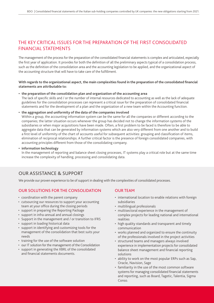# THE KEY CRITICAL ISSUES FOR THE PREPARATION OF THE FIRST CONSOLIDATED FINANCIAL STATEMENTS

The management of the process for the preparation of the consolidated financial statements is complex and articulated, especially the first year of application. It provides for both the definition of all the preliminary aspects typical of a consolidation process, such as the definition of the consolidation area and the accounting legislation to be applied, and the organizational aspect of the accounting structure that will have to take care of the fulfillment.

**With regards to the organizational aspect, the main complexities found in the preparation of the consolidated financial statements are attributable to:**

### **• the preparation of the consolidation plan and organization of the accounting area**

The lack of specific skills and / or the number of internal resources dedicated to accounting as well as the lack of adequate guidelines for the consolidation processes can represent a critical issue for the preparation of consolidated financial statements and for the development of a plan and the organization of a new team within the Accounting function.

### **• the aggregation and uniformity of the data of the companies involved**

Within a group, the accounting information system can be the same for all the companies or different according to the companies; the latter situation occurs whenever the group has decided not to change the information systems of the subsidiaries or when major acquisitions have been made. Often, a first problem to be faced is therefore to be able to aggregate data that can be generated by information systems which are also very different from one another and to build a first level of uniformity of the chart of accounts useful for subsequent activities: grouping and classification of items, elimination of reciprocal relationships. A further critical factor is the presence of foreign consolidated companies, with accounting principles different from those of the consolidating company.

#### **• information technology**

In the management of reporting and balance sheet closing processes, IT systems play a critical role but at the same time increase the complexity of handling, processing and consolidating data.

# OUR ASSISTANCE & SUPPORT

We provide our proven experience to be of support in dealing with the complexities of consolidated processes.

## OUR SOLUTIONS FOR THE CONSOLIDATION

- coordination with the parent company
- cutsourcing our resources to support your accounting team at your office during the closing periods
- support in preparing the Reporting Package
- support in infra-annual and annual closings
- Support in the management and / or transition to IFRS
- support in loading historical data
- support in identifying and customizing tools for the management of the consolidation that best suits your needs
- training for the use of the software solution
- our IT solution for the management of the Consolidation
- support in generating the XBRL of the consolidated and financial statements documents.

## OUR TEAM

- international location to enable relations with foreign subsidiaries
- multilingual professionals
- multisectoral experience in the management of complex projects for leading national and international realities
- high quality standards and transparent and timely communication
- works planned and organized to ensure the continuity of the professionals involved in the project activities
- structured teams and managers always involved experience in implementation projects for consolidated balance sheet management and financial reporting solutions
- ability to work on the most popular ERPs such as Sap, Oracle, Navision, Sage
- familiarity in the use of the most common software systems for managing consolidated financial statements and reporting, such as Board, Tagetic, Talentia, Sigma Conso.